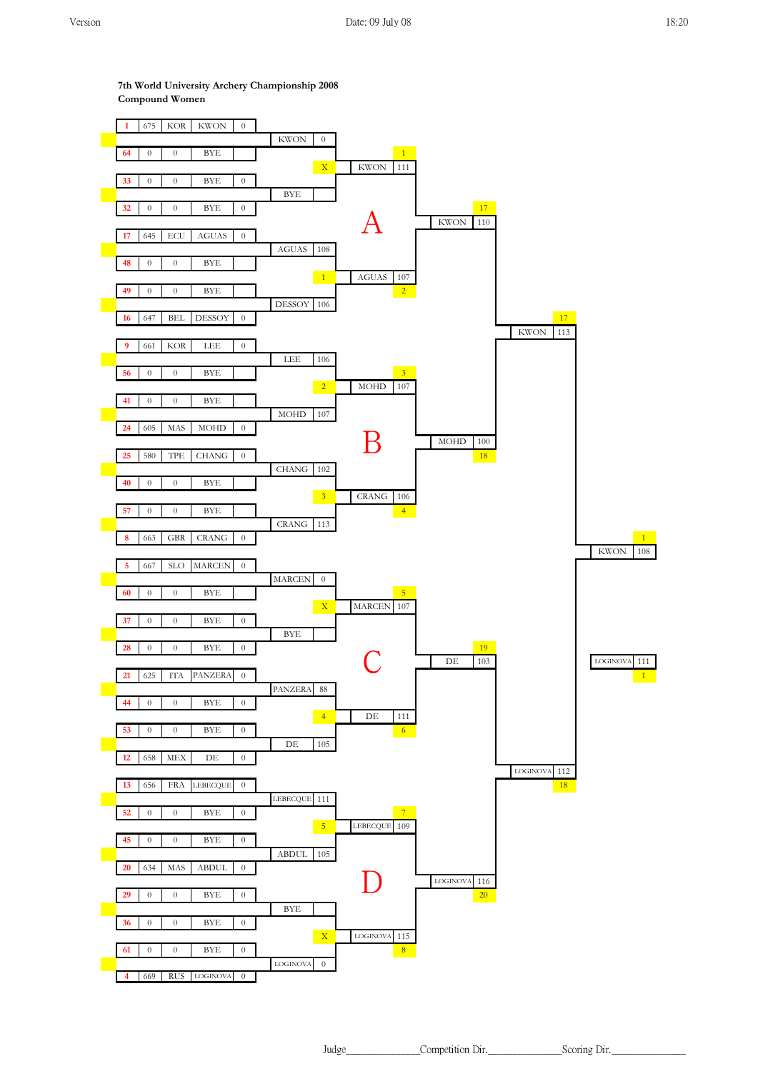**7th World University Archery Championship 2008 Compound Women**



Judge\_\_\_\_\_\_\_\_\_\_\_\_\_\_\_Competition Dir.\_\_\_\_\_\_\_\_\_\_\_\_\_\_\_Scoring Dir.\_\_\_\_\_\_\_\_\_\_\_\_\_\_\_